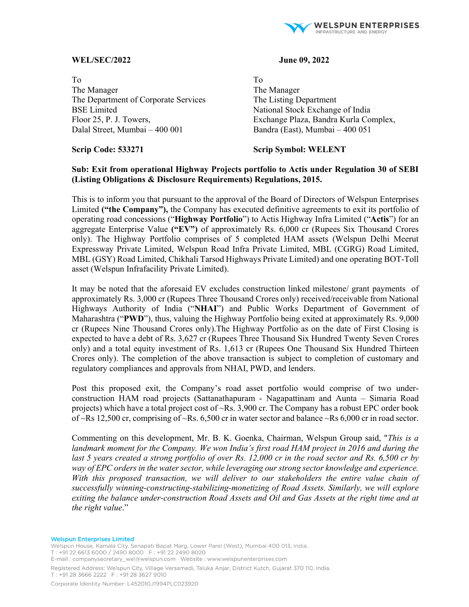

# **WEL/SEC/2022 June 09, 2022**

To To The Manager The Manager The Department of Corporate Services The Listing Department BSE Limited National Stock Exchange of India Dalal Street, Mumbai – 400 001 Bandra (East), Mumbai – 400 051

Floor 25, P. J. Towers, Exchange Plaza, Bandra Kurla Complex,

**Scrip Code: 533271 Scrip Symbol: WELENT** 

# **Sub: Exit from operational Highway Projects portfolio to Actis under Regulation 30 of SEBI (Listing Obligations & Disclosure Requirements) Regulations, 2015.**

This is to inform you that pursuant to the approval of the Board of Directors of Welspun Enterprises Limited **("the Company"),** the Company has executed definitive agreements to exit its portfolio of operating road concessions ("**Highway Portfolio**") to Actis Highway Infra Limited ("**Actis**") for an aggregate Enterprise Value **("EV")** of approximately Rs. 6,000 cr (Rupees Six Thousand Crores only). The Highway Portfolio comprises of 5 completed HAM assets (Welspun Delhi Meerut Expressway Private Limited, Welspun Road Infra Private Limited, MBL (CGRG) Road Limited, MBL (GSY) Road Limited, Chikhali Tarsod Highways Private Limited) and one operating BOT-Toll asset (Welspun Infrafacility Private Limited).

It may be noted that the aforesaid EV excludes construction linked milestone/ grant payments of approximately Rs. 3,000 cr (Rupees Three Thousand Crores only) received/receivable from National Highways Authority of India ("**NHAI**") and Public Works Department of Government of Maharashtra ("**PWD**"), thus, valuing the Highway Portfolio being exited at approximately Rs. 9,000 cr (Rupees Nine Thousand Crores only).The Highway Portfolio as on the date of First Closing is expected to have a debt of Rs. 3,627 cr (Rupees Three Thousand Six Hundred Twenty Seven Crores only) and a total equity investment of Rs. 1,613 cr (Rupees One Thousand Six Hundred Thirteen Crores only). The completion of the above transaction is subject to completion of customary and regulatory compliances and approvals from NHAI, PWD, and lenders.

Post this proposed exit, the Company's road asset portfolio would comprise of two underconstruction HAM road projects (Sattanathapuram - Nagapattinam and Aunta – Simaria Road projects) which have a total project cost of ~Rs. 3,900 cr. The Company has a robust EPC order book of  $\sim$ Rs 12,500 cr, comprising of  $\sim$ Rs. 6,500 cr in water sector and balance  $\sim$ Rs 6,000 cr in road sector.

Commenting on this development, Mr. B. K. Goenka, Chairman, Welspun Group said, "*This is a*  landmark moment for the Company. We won India's first road HAM project in 2016 and during the last 5 years created a strong portfolio of over Rs. 12,000 cr in the road sector and Rs. 6,500 cr by *way of EPC orders in the water sector, while leveraging our strong sector knowledge and experience. With this proposed transaction, we will deliver to our stakeholders the entire value chain of successfully winning-constructing-stabilizing-monetizing of Road Assets. Similarly, we will explore exiting the balance under-construction Road Assets and Oil and Gas Assets at the right time and at the right value*."

#### **Welspun Enterprises Limited**

Welspun House, Kamala City, Senapati Bapat Marg, Lower Parel (West), Mumbai 400 013, India. T: +91 22 6613 6000 / 2490 8000 F: +91 22 2490 8020 E-mail: companysecretary\_wel@welspun.com Vebsite: www.welspunenterprises.com Registered Address: Welspun City, Village Versamedi, Taluka Anjar, District Kutch, Gujarat 370 110, India. T: +91 28 3666 2222 F: +91 28 3627 9010 Corporate Identity Number: L45201GJ1994PLC023920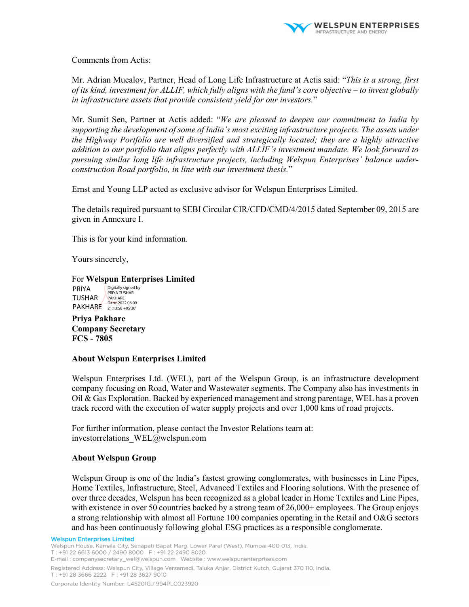

Comments from Actis:

Mr. Adrian Mucalov, Partner, Head of Long Life Infrastructure at Actis said: "*This is a strong, first of its kind, investment for ALLIF, which fully aligns with the fund's core objective – to invest globally in infrastructure assets that provide consistent yield for our investors.*"

Mr. Sumit Sen, Partner at Actis added: "*We are pleased to deepen our commitment to India by supporting the development of some of India's most exciting infrastructure projects. The assets under the Highway Portfolio are well diversified and strategically located; they are a highly attractive addition to our portfolio that aligns perfectly with ALLIF's investment mandate. We look forward to pursuing similar long life infrastructure projects, including Welspun Enterprises' balance underconstruction Road portfolio, in line with our investment thesis.*"

Ernst and Young LLP acted as exclusive advisor for Welspun Enterprises Limited.

The details required pursuant to SEBI Circular CIR/CFD/CMD/4/2015 dated September 09, 2015 are given in Annexure I.

This is for your kind information.

Yours sincerely,

For **Welspun Enterprises Limited**  PRIYA TUSHAR PAKHARE Date: 2022.06.09 Digitally signed by PRIYA TUSHAR PAKHARE

**Priya Pakhare Company Secretary FCS - 7805** 

# **About Welspun Enterprises Limited**

Welspun Enterprises Ltd. (WEL), part of the Welspun Group, is an infrastructure development company focusing on Road, Water and Wastewater segments. The Company also has investments in Oil & Gas Exploration. Backed by experienced management and strong parentage, WEL has a proven track record with the execution of water supply projects and over 1,000 kms of road projects.

For further information, please contact the Investor Relations team at: investorrelations\_WEL@welspun.com

### **About Welspun Group**

Welspun Group is one of the India's fastest growing conglomerates, with businesses in Line Pipes, Home Textiles, Infrastructure, Steel, Advanced Textiles and Flooring solutions. With the presence of over three decades, Welspun has been recognized as a global leader in Home Textiles and Line Pipes, with existence in over 50 countries backed by a strong team of  $26,000+$  employees. The Group enjoys a strong relationship with almost all Fortune 100 companies operating in the Retail and O&G sectors and has been continuously following global ESG practices as a responsible conglomerate.

**Welspun Enterprises Limited** Welspun House, Kamala City, Senapati Bapat Marg, Lower Parel (West), Mumbai 400 013, India. T: +91 22 6613 6000 / 2490 8000 F: +91 22 2490 8020 E-mail: companysecretary\_wel@welspun.com Vebsite: www.welspunenterprises.com Registered Address: Welspun City, Village Versamedi, Taluka Anjar, District Kutch, Gujarat 370 110, India. T: +91 28 3666 2222 F: +91 28 3627 9010 Corporate Identity Number: L45201GJ1994PLC023920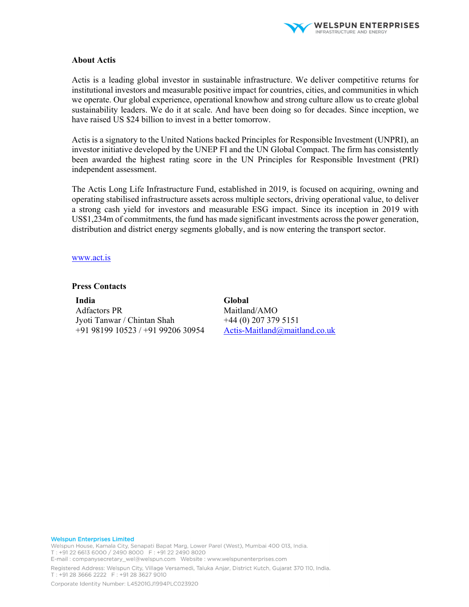

### **About Actis**

Actis is a leading global investor in sustainable infrastructure. We deliver competitive returns for institutional investors and measurable positive impact for countries, cities, and communities in which we operate. Our global experience, operational knowhow and strong culture allow us to create global sustainability leaders. We do it at scale. And have been doing so for decades. Since inception, we have raised US \$24 billion to invest in a better tomorrow.

Actis is a signatory to the United Nations backed Principles for Responsible Investment (UNPRI), an investor initiative developed by the UNEP FI and the UN Global Compact. The firm has consistently been awarded the highest rating score in the UN Principles for Responsible Investment (PRI) independent assessment.

The Actis Long Life Infrastructure Fund, established in 2019, is focused on acquiring, owning and operating stabilised infrastructure assets across multiple sectors, driving operational value, to deliver a strong cash yield for investors and measurable ESG impact. Since its inception in 2019 with US\$1,234m of commitments, the fund has made significant investments across the power generation, distribution and district energy segments globally, and is now entering the transport sector.

## www.act.is

## **Press Contacts**

**India**  Adfactors PR Jyoti Tanwar / Chintan Shah +91 98199 10523 / +91 99206 30954 **Global**  Maitland/AMO +44 (0) 207 379 5151 Actis-Maitland@maitland.co.uk